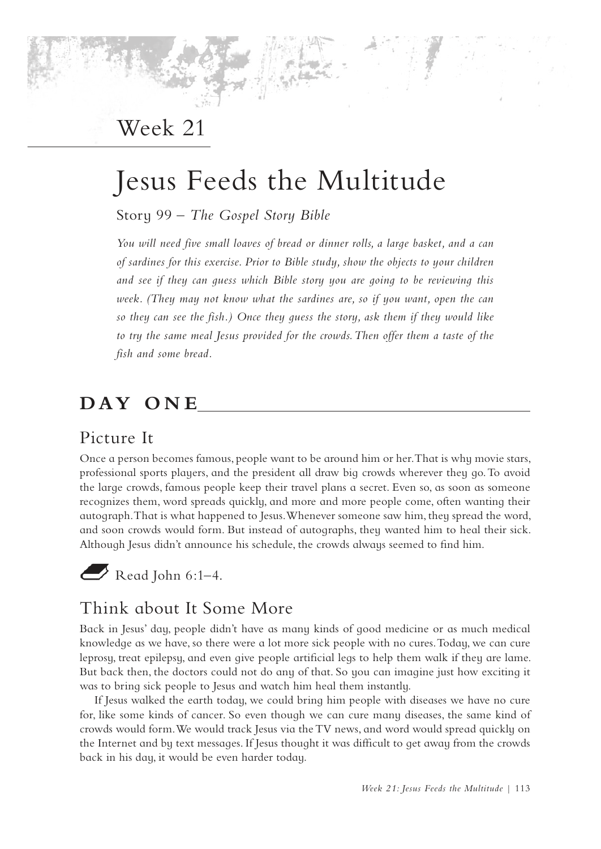# Week 21

# Jesus Feeds the Multitude

Story 99 – *The Gospel Story Bible*

*You will need five small loaves of bread or dinner rolls, a large basket, and a can of sardines for this exercise. Prior to Bible study, show the objects to your children and see if they can guess which Bible story you are going to be reviewing this week. (They may not know what the sardines are, so if you want, open the can so they can see the fish.) Once they guess the story, ask them if they would like to try the same meal Jesus provided for the crowds. Then offer them a taste of the fish and some bread.*

#### **DAY ONE**

#### Picture It

Once a person becomes famous, people want to be around him or her. That is why movie stars, professional sports players, and the president all draw big crowds wherever they go. To avoid the large crowds, famous people keep their travel plans a secret. Even so, as soon as someone recognizes them, word spreads quickly, and more and more people come, often wanting their autograph. That is what happened to Jesus. Whenever someone saw him, they spread the word, and soon crowds would form. But instead of autographs, they wanted him to heal their sick. Although Jesus didn't announce his schedule, the crowds always seemed to find him.



#### Think about It Some More

Back in Jesus' day, people didn't have as many kinds of good medicine or as much medical knowledge as we have, so there were a lot more sick people with no cures. Today, we can cure leprosy, treat epilepsy, and even give people artificial legs to help them walk if they are lame. But back then, the doctors could not do any of that. So you can imagine just how exciting it was to bring sick people to Jesus and watch him heal them instantly.

If Jesus walked the earth today, we could bring him people with diseases we have no cure for, like some kinds of cancer. So even though we can cure many diseases, the same kind of crowds would form. We would track Jesus via the TV news, and word would spread quickly on the Internet and by text messages. If Jesus thought it was difficult to get away from the crowds back in his day, it would be even harder today.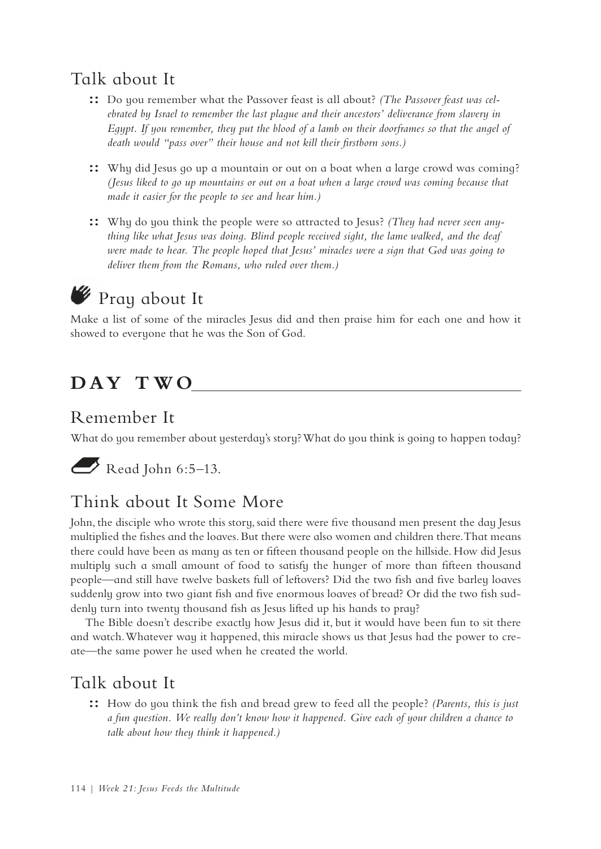#### Talk about It

- **::** Do you remember what the Passover feast is all about? *(The Passover feast was celebrated by Israel to remember the last plague and their ancestors' deliverance from slavery in Egypt. If you remember, they put the blood of a lamb on their doorframes so that the angel of death would "pass over" their house and not kill their firstborn sons.)*
- **::** Why did Jesus go up a mountain or out on a boat when a large crowd was coming? *(Jesus liked to go up mountains or out on a boat when a large crowd was coming because that made it easier for the people to see and hear him.)*
- **::** Why do you think the people were so attracted to Jesus? *(They had never seen anything like what Jesus was doing. Blind people received sight, the lame walked, and the deaf were made to hear. The people hoped that Jesus' miracles were a sign that God was going to deliver them from the Romans, who ruled over them.)*



# Pray about It

Make a list of some of the miracles Jesus did and then praise him for each one and how it showed to everyone that he was the Son of God.

## **DAY TWO**

#### Remember It

What do you remember about yesterday's story? What do you think is going to happen today?

Read John  $6:5-13$ .

## Think about It Some More

John, the disciple who wrote this story, said there were five thousand men present the day Jesus multiplied the fishes and the loaves. But there were also women and children there. That means there could have been as many as ten or fifteen thousand people on the hillside. How did Jesus multiply such a small amount of food to satisfy the hunger of more than fifteen thousand people—and still have twelve baskets full of leftovers? Did the two fish and five barley loaves suddenly grow into two giant fish and five enormous loaves of bread? Or did the two fish suddenly turn into twenty thousand fish as Jesus lifted up his hands to pray?

The Bible doesn't describe exactly how Jesus did it, but it would have been fun to sit there and watch. Whatever way it happened, this miracle shows us that Jesus had the power to create—the same power he used when he created the world.

### Talk about It

**::** How do you think the fish and bread grew to feed all the people? *(Parents, this is just a fun question. We really don't know how it happened. Give each of your children a chance to talk about how they think it happened.)*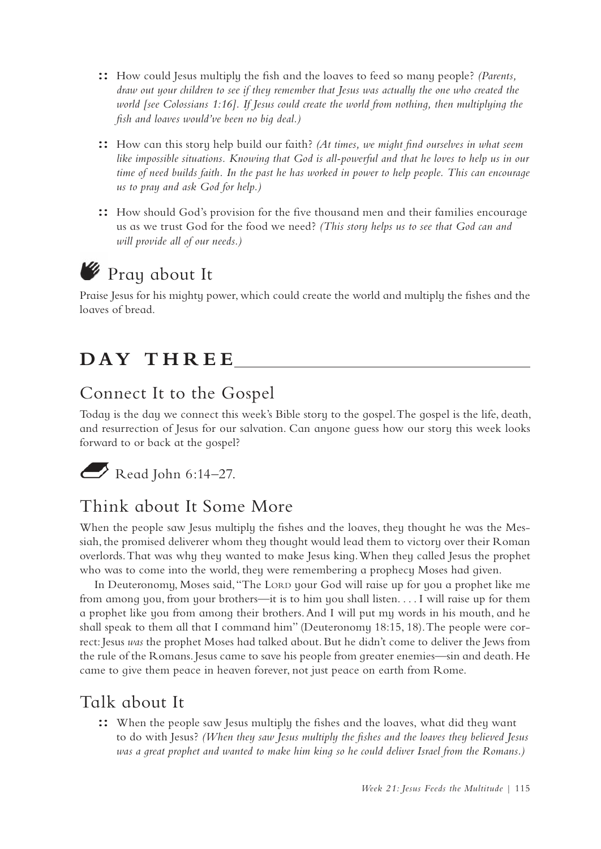- **::** How could Jesus multiply the fish and the loaves to feed so many people? *(Parents, draw out your children to see if they remember that Jesus was actually the one who created the world [see Colossians 1:16]. If Jesus could create the world from nothing, then multiplying the fish and loaves would've been no big deal.)*
- **::** How can this story help build our faith? *(At times, we might find ourselves in what seem like impossible situations. Knowing that God is all-powerful and that he loves to help us in our time of need builds faith. In the past he has worked in power to help people. This can encourage us to pray and ask God for help.)*
- **::** How should God's provision for the five thousand men and their families encourage us as we trust God for the food we need? *(This story helps us to see that God can and will provide all of our needs.)*



## Pray about It

Praise Jesus for his mighty power, which could create the world and multiply the fishes and the loaves of bread.

## **DAY THREE**

#### Connect It to the Gospel

Today is the day we connect this week's Bible story to the gospel. The gospel is the life, death, and resurrection of Jesus for our salvation. Can anyone guess how our story this week looks forward to or back at the gospel?



### Think about It Some More

When the people saw Jesus multiply the fishes and the loaves, they thought he was the Messiah, the promised deliverer whom they thought would lead them to victory over their Roman overlords. That was why they wanted to make Jesus king. When they called Jesus the prophet who was to come into the world, they were remembering a prophecy Moses had given.

In Deuteronomy, Moses said, "The LORD your God will raise up for you a prophet like me from among you, from your brothers—it is to him you shall listen. . . . I will raise up for them a prophet like you from among their brothers. And I will put my words in his mouth, and he shall speak to them all that I command him" (Deuteronomy 18:15, 18). The people were correct: Jesus *was* the prophet Moses had talked about. But he didn't come to deliver the Jews from the rule of the Romans. Jesus came to save his people from greater enemies—sin and death. He came to give them peace in heaven forever, not just peace on earth from Rome.

### Talk about It

**::** When the people saw Jesus multiply the fishes and the loaves, what did they want to do with Jesus? *(When they saw Jesus multiply the fishes and the loaves they believed Jesus was a great prophet and wanted to make him king so he could deliver Israel from the Romans.)*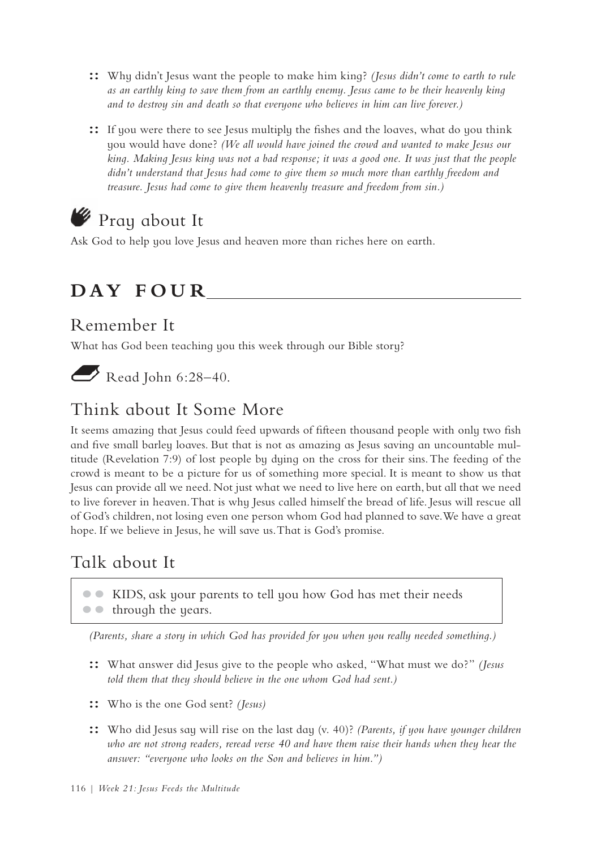- **::** Why didn't Jesus want the people to make him king? *(Jesus didn't come to earth to rule as an earthly king to save them from an earthly enemy. Jesus came to be their heavenly king and to destroy sin and death so that everyone who believes in him can live forever.)*
- **::** If you were there to see Jesus multiply the fishes and the loaves, what do you think you would have done? *(We all would have joined the crowd and wanted to make Jesus our king. Making Jesus king was not a bad response; it was a good one. It was just that the people didn't understand that Jesus had come to give them so much more than earthly freedom and treasure. Jesus had come to give them heavenly treasure and freedom from sin.)*



Ask God to help you love Jesus and heaven more than riches here on earth.

## **DAY FOUR**

#### Remember It

What has God been teaching you this week through our Bible story?

Read John  $6:28-40$ .

#### Think about It Some More

It seems amazing that Jesus could feed upwards of fifteen thousand people with only two fish and five small barley loaves. But that is not as amazing as Jesus saving an uncountable multitude (Revelation 7:9) of lost people by dying on the cross for their sins. The feeding of the crowd is meant to be a picture for us of something more special. It is meant to show us that Jesus can provide all we need. Not just what we need to live here on earth, but all that we need to live forever in heaven. That is why Jesus called himself the bread of life. Jesus will rescue all of God's children, not losing even one person whom God had planned to save. We have a great hope. If we believe in Jesus, he will save us. That is God's promise.

### Talk about It

- **::** KIDS, ask your parents to tell you how God has met their needs
- $\bullet$  through the years.

*(Parents, share a story in which God has provided for you when you really needed something.)*

- **::** What answer did Jesus give to the people who asked, "What must we do?" *(Jesus told them that they should believe in the one whom God had sent.)*
- **::** Who is the one God sent? *(Jesus)*
- **::** Who did Jesus say will rise on the last day (v. 40)? *(Parents, if you have younger children who are not strong readers, reread verse 40 and have them raise their hands when they hear the answer: "everyone who looks on the Son and believes in him.")*